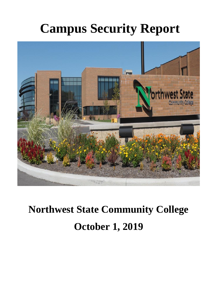# **Campus Security Report**



# **Northwest State Community College October 1, 2019**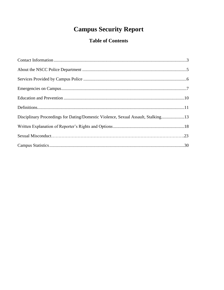# **Campus Security Report**

# **Table of Contents**

| Disciplinary Proceedings for Dating/Domestic Violence, Sexual Assault, Stalking13 |
|-----------------------------------------------------------------------------------|
|                                                                                   |
|                                                                                   |
|                                                                                   |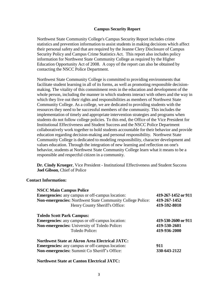#### **Campus Security Report**

Northwest State Community College's Campus Security Report includes crime statistics and prevention information to assist students in making decisions which affect their personal safety and that are required by the Jeanne Clery Disclosure of Campus Security Policy and Campus Crime Statistics Act. This report also includes policy information for Northwest State Community College as required by the Higher Education Opportunity Act of 2008. A copy of the report can also be obtained by contacting the NSCC Police Department.

Northwest State Community College is committed to providing environments that facilitate student learning in all of its forms, as well as promoting responsible decisionmaking. The vitality of this commitment rests in the education and development of the whole person, including the manner in which students interact with others and the way in which they live out their rights and responsibilities as members of Northwest State Community College. As a college, we are dedicated to providing students with the resources they need to be successful members of the community. This includes the implementation of timely and appropriate intervention strategies and programs when students do not follow college policies. To this end, the Office of the Vice President for Institutional Effectiveness and Student Success and the NSCC Police Department collaboratively work together to hold students accountable for their behavior and provide education regarding decision-making and personal responsibility. Northwest State Community College is dedicated to modeling responsibility, character development and values education. Through the integration of new learning and reflection on one's behavior, students at Northwest State Community College learn what it means to be a responsible and respectful citizen in a community.

**Dr. Cindy Krueger**, Vice President - Institutional Effectiveness and Student Success **Joel Gibson**, Chief of Police

#### **Contact Information:**

| <b>NSCC Main Campus Police</b>                                    |                     |  |  |  |  |  |
|-------------------------------------------------------------------|---------------------|--|--|--|--|--|
| <b>Emergencies:</b> any campus or off-campus location:            | 419-267-1452 or 911 |  |  |  |  |  |
| <b>Non-emergencies:</b> Northwest State Community College Police: | 419-267-1452        |  |  |  |  |  |
| Henry County Sheriff's Office:                                    | 419-592-8010        |  |  |  |  |  |
| <b>Toledo Scott Park Campus:</b>                                  |                     |  |  |  |  |  |
| <b>Emergencies:</b> any campus or off-campus location:            | 419-530-2600 or 911 |  |  |  |  |  |
| Non-emergencies: University of Toledo Police:                     | 419-530-2601        |  |  |  |  |  |
| Toledo Police:                                                    | 419-936-2000        |  |  |  |  |  |
| <b>Northwest State at Akron Area Electrical JATC:</b>             |                     |  |  |  |  |  |
| <b>Emergencies:</b> any campus or off-campus location:            | 911                 |  |  |  |  |  |
| Non-emergencies: Summit Co Sheriff's Office:                      | 330-643-2122        |  |  |  |  |  |
|                                                                   |                     |  |  |  |  |  |

#### **Northwest State at Canton Electrical JATC:**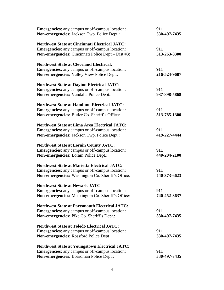| <b>Emergencies:</b> any campus or off-campus location:<br>Non-emergencies: Jackson Twp. Police Dept.: | 911<br>330-497-7435 |
|-------------------------------------------------------------------------------------------------------|---------------------|
| <b>Northwest State at Cincinnati Electrical JATC:</b>                                                 |                     |
| <b>Emergencies:</b> any campus or off-campus location:                                                | 911                 |
| Non-emergencies: Cincinnati Police Dept. - Dist #3:                                                   | 513-263-8300        |
| <b>Northwest State at Cleveland Electrical:</b>                                                       |                     |
| <b>Emergencies:</b> any campus or off-campus location:                                                | 911                 |
| Non-emergencies: Valley View Police Dept.:                                                            | 216-524-9687        |
| <b>Northwest State at Dayton Electrical JATC:</b>                                                     |                     |
| <b>Emergencies:</b> any campus or off-campus location:                                                | 911                 |
| Non-emergencies: Vandalia Police Dept.:                                                               | 937-898-5868        |
| <b>Northwest State at Hamilton Electrical JATC:</b>                                                   |                     |
| <b>Emergencies:</b> any campus or off-campus location:                                                | 911                 |
| Non-emergencies: Butler Co. Sheriff's Office:                                                         | 513-785-1300        |
| <b>Northwest State at Lima Area Electrical JATC:</b>                                                  |                     |
| <b>Emergencies:</b> any campus or off-campus location:                                                | 911                 |
| Non-emergencies: Jackson Twp. Police Dept.:                                                           | 419-227-4444        |
| <b>Northwest State at Lorain County JATC:</b>                                                         |                     |
| <b>Emergencies:</b> any campus or off-campus location:                                                | 911                 |
| Non-emergencies: Lorain Police Dept.:                                                                 | 440-204-2100        |
| <b>Northwest State at Marietta Electrical JATC:</b>                                                   |                     |
| <b>Emergencies:</b> any campus or off-campus location:                                                | 911                 |
| Non-emergencies: Washington Co. Sheriff's Office:                                                     | 740-373-6623        |
| <b>Northwest State at Newark JATC:</b>                                                                |                     |
| <b>Emergencies:</b> any campus or off-campus location:                                                | 911                 |
| Non-emergencies: Muskingum Co. Sheriff's Office:                                                      | 740-452-3637        |
| <b>Northwest State at Portsmouth Electrical JATC:</b>                                                 |                     |
| <b>Emergencies:</b> any campus or off-campus location:                                                | 911                 |
| Non-emergencies: Pike Co. Sheriff's Dept.:                                                            | 330-497-7435        |
| <b>Northwest State at Toledo Electrical JATC:</b>                                                     |                     |
| <b>Emergencies:</b> any campus or off-campus location:                                                | 911                 |
| Non-emergencies: Rossford Police Dept                                                                 | 330-497-7435        |
| <b>Northwest State at Youngstown Electrical JATC:</b>                                                 |                     |
| <b>Emergencies:</b> any campus or off-campus location:                                                | 911                 |
| Non-emergencies: Boardman Police Dept.:                                                               | 330-497-7435        |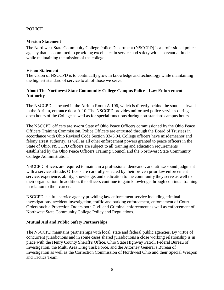# **POLICE**

# **Mission Statement**

The Northwest State Community College Police Department (NSCCPD) is a professional police agency that is committed to providing excellence in service and safety with a servant attitude while maintaining the mission of the college.

# **Vision Statement**

The vision of NSCCPD is to continually grow in knowledge and technology while maintaining the highest standard of service to all of those we serve.

# **About The Northwest State Community College Campus Police - Law Enforcement Authority**

The NSCCPD is located in the Atrium Room A-196, which is directly behind the south stairwell in the Atrium, entrance door A-10. The NSCCPD provides uniformed police services during open hours of the College as well as for special functions during non-standard campus hours.

The NSCCPD officers are sworn State of Ohio Peace Officers commissioned by the Ohio Peace Officers Training Commission. Police Officers are entrusted through the Board of Trustees in accordance with Ohio Revised Code Section 3345.04. College officers have misdemeanor and felony arrest authority, as well as all other enforcement powers granted to peace officers in the State of Ohio. NSCCPD officers are subject to all training and education requirements established by the Ohio Peace Officers Training Council and the Northwest State Community College Administration.

NSCCPD officers are required to maintain a professional demeanor, and utilize sound judgment with a service attitude. Officers are carefully selected by their proven prior law enforcement service, experience, ability, knowledge, and dedication to the community they serve as well to their organization. In addition, the officers continue to gain knowledge through continual training in relation to their career.

NSCCPD is a full service agency providing law enforcement service including criminal investigations, accident investigation, traffic and parking enforcement, enforcement of Court Orders such a Protection Orders both Civil and Criminal enforcement as well as enforcement of Northwest State Community College Policy and Regulations.

# **Mutual Aid and Public Safety Partnerships**

The NSCCPD maintains partnerships with local, state and federal public agencies. By virtue of concurrent jurisdictions and in some cases shared jurisdictions a close working relationship is in place with the Henry County Sheriff's Office, Ohio State Highway Patrol, Federal Bureau of Investigation, the Multi Area Drug Task Force, and the Attorney General's Bureau of Investigation as well as the Correction Commission of Northwest Ohio and their Special Weapon and Tactics Team.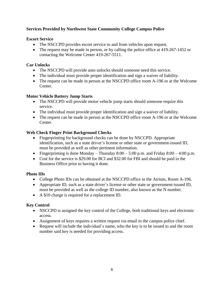# **Services Provided by Northwest State Community College Campus Police**

# **Escort Service**

- The NSCCPD provides escort service to and from vehicles upon request.
- The request may be made in person, or by calling the police office at [419-267-1452](tel:419-267-1452) or contacting the Welcome Center 419-267-5511.

# **Car Unlocks**

- The NSCCPD will provide auto unlocks should someone need this service.
- The individual must provide proper identification and sign a waiver of liability.
- The request can be made in person at the NSCCPD office room A-196 or at the Welcome Center.

# **Motor Vehicle Battery Jump Starts**

- The NSCCPD will provide motor vehicle jump starts should someone require this service.
- The individual must provide proper identification and sign a waiver of liability.
- The request can be made in person at the NSCCPD office room A-196 or at the Welcome Center.

# **Web Check Finger Print Background Checks**

- Fingerprinting for background checks can be done by NSCCPD. Appropriate identification, such as a state driver's license or other state or government-issued ID, must be provided as well as other pertinent information.
- Fingerprinting is done Monday Thursday  $8:00 5:00$  p.m. and Friday  $8:00 4:00$  p.m.
- Cost for the service is \$29.00 for BCI and \$32.00 for FBI and should be paid in the Business Office prior to having it done.

# **Photo IDs**

- College Photo IDs can be obtained at the NSCCPD office in the Atrium, Room A-196.
- Appropriate ID, such as a state driver's license or other state or government-issued ID, must be provided as well as the college ID number, also known as the N number.
- A \$10 charge is required for a replacement ID.

# **Key Control**

- NSCCPD is assigned the key control of the College, both traditional keys and electronic access.
- Assignment of keys requires a written request via email to the campus police chief.
- Request will include the individual's name, who the key is to be issued to and the room number said key is needed for providing access.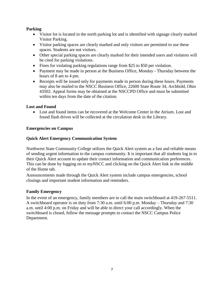# **Parking**

- Visitor lot is located in the north parking lot and is identified with signage clearly marked Visitor Parking.
- Visitor parking spaces are clearly marked and only visitors are permitted to use these spaces. Students are not visitors.
- Other special parking spaces are clearly marked for their intended users and violators will be cited for parking violations.
- Fines for violating parking regulations range from \$25 to \$50 per violation.
- Payment may be made in person at the Business Office, Monday Thursday between the hours of 8 am to 4 pm.
- Receipts will be issued only for payments made in person during these hours. Payments may also be mailed to the NSCC Business Office, 22600 State Route 34, Archbold, Ohio 43502. Appeal forms may be obtained at the NSCCPD Office and must be submitted within ten days from the date of the citation.

# **Lost and Found**

 Lost and found items can be recovered at the Welcome Center in the Atrium. Lost and found flash drives will be collected at the circulation desk in the Library.

# **Emergencies on Campus**

# **Quick Alert Emergency Communication System**

Northwest State Community College utilizes the Quick Alert system as a fast and reliable means of sending urgent information to the campus community. It is important that all students log in to their Quick Alert account to update their contact information and communication preferences. This can be done by logging on to myNSCC and clicking on the Quick Alert link in the middle of the Home tab.

Announcements made through the Quick Alert system include campus emergencies, school closings and important student information and reminders.

# **Family Emergency**

In the event of an emergency, family members are to call the main switchboard at 419-267-5511. A switchboard operator is on duty from 7:30 a.m. until 6:00 p.m. Monday – Thursday and 7:30 a.m. until 4:00 p.m. on Friday and will be able to direct your call accordingly. When the switchboard is closed, follow the message prompts to contact the NSCC Campus Police Department.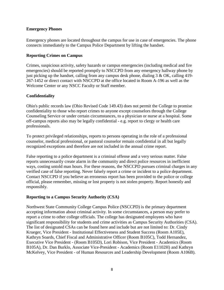# **Emergency Phones**

Emergency phones are located throughout the campus for use in case of emergencies. The phone connects immediately to the Campus Police Department by lifting the handset.

# **Reporting Crimes on Campus**

Crimes, suspicious activity, safety hazards or campus emergencies (including medical and fire emergencies) should be reported promptly to NSCCPD from any emergency hallway phone by just picking up the handset, calling from any campus desk phone, dialing  $3 & OK$ , calling [419-](tel:419-267-1452) [267-1452](tel:419-267-1452) or direct contact with NSCCPD at the office located in Room A-196 as well as the Welcome Center or any NSCC Faculty or Staff member.

# **Confidentiality**

Ohio's public records law (Ohio Revised Code 149.43) does not permit the College to promise confidentiality to those who report crimes to anyone except counselors through the College Counseling Service or under certain circumstances, to a physician or nurse at a hospital. Some off-campus reports also may be legally confidential - e.g. report to clergy or health care professionals.

To protect privileged relationships, reports to persons operating in the role of a professional counselor, medical professional, or pastoral counselor remain confidential in all but legally recognized exceptions and therefore are not included in the annual crime report.

False reporting to a police department is a criminal offense and a very serious matter. False reports unnecessarily create alarm in the community and direct police resources in inefficient ways, costing untold man hours. For these reasons, the NSCCPD pursues criminal charges in any verified case of false reporting. Never falsely report a crime or incident to a police department. Contact NSCCPD if you believe an erroneous report has been provided to the police or college official, please remember, missing or lost property is not stolen property. Report honestly and responsibly.

#### **Reporting to a Campus Security Authority (CSA)**

Northwest State Community College Campus Police (NSCCPD) is the primary department accepting information about criminal activity. In some circumstances, a person may prefer to report a crime to other college officials. The college has designated employees who have significant responsibility for students and crime activities as Campus Security Authorities (CSA). The list of designated CSAs can be found here and include but are not limited to: Dr. Cindy Krueger, Vice President - Institutional Effectiveness and Student Success (Room A105E), Kathryn Soards, Chief Fiscal and Administrative Officer (Room B105C), Todd Hernandez, Executive Vice President - (Room B105D), Lori Robison, Vice President - Academics (Room B105A), Dr. Dan Burklo, Associate Vice-President - Academics (Room E1102H) and Kathryn McKelvey, Vice President - of Human Resources and Leadership Development (Room A106B).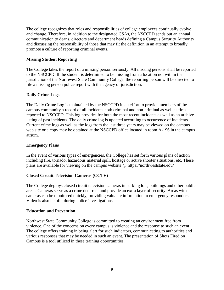The college recognizes that roles and responsibilities of college employees continually evolve and change. Therefore, in addition to the designated CSAs, the NSCCPD sends out an annual communication to deans, directors and department heads defining a Campus Security Authority and discussing the responsibility of those that may fit the definition in an attempt to broadly promote a culture of reporting criminal events.

# **Missing Student Reporting**

The College takes the report of a missing person seriously. All missing persons shall be reported to the NSCCPD. If the student is determined to be missing from a location not within the jurisdiction of the Northwest State Community College, the reporting person will be directed to file a missing person police report with the agency of jurisdiction.

# **Daily Crime Logs**

The Daily Crime Log is maintained by the NSCCPD in an effort to provide members of the campus community a record of all incidents both criminal and non-criminal as well as fires reported to NSCCPD. This log provides for both the most recent incidents as well as an archive listing of past incidents. The daily crime log is updated according to occurrence of incidents. Current crime logs as well as the logs from the last three years may be viewed on the campus web site or a copy may be obtained at the NSCCPD office located in room A-196 in the campus atrium.

#### **Emergency Plans**

In the event of various types of emergencies, the College has set forth various plans of action including fire, tornado, hazardous material spill, hostage or active shooter situations, etc. These plans are available for viewing on the campus website @ https://northweststate.edu/

#### **Closed Circuit Television Cameras (CCTV)**

The College deploys closed circuit television cameras in parking lots, buildings and other public areas. Cameras serve as a crime deterrent and provide an extra layer of security. Areas with cameras can be monitored quickly, providing valuable information to emergency responders. Video is also helpful during police investigations.

#### **Education and Prevention**

Northwest State Community College is committed to creating an environment free from violence. One of the concerns on every campus is violence and the response to such an event. The college offers training in being alert for such indicators, communicating to authorities and various responses that may be needed in such an event. The presentation of Shots Fired on Campus is a tool utilized in these training opportunities.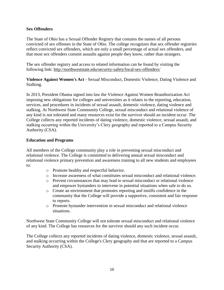# **Sex Offenders**

The State of Ohio has a Sexual Offender Registry that contains the names of all persons convicted of sex offenses in the State of Ohio. The college recognizes that sex offender registries reflect convicted sex offenders, which are only a small percentage of actual sex offenders, and that most sex offenders commit assaults against people they know, rather than strangers.

The sex offender registry and access to related information can be found by visiting the following link:<http://northweststate.edu/security-safety/local-sex-offenders/>

**Violence Against Women's Act** - Sexual Misconduct, Domestic Violence, Dating Violence and Stalking.

In 2013, President Obama signed into law the Violence Against Women Reauthorization Act imposing new obligations for colleges and universities as it relates to the reporting, education, services, and procedures in incidents of sexual assault, domestic violence, dating violence and stalking. At Northwest State Community College, sexual misconduct and relational violence of any kind is not tolerated and many resources exist for the survivor should an incident occur. The College collects any reported incidents of dating violence, domestic violence, sexual assault, and stalking occurring within the University's Clery geography and reported to a Campus Security Authority (CSA).

# **Education and Programs**

All members of the College community play a role in preventing sexual misconduct and relational violence. The College is committed to delivering annual sexual misconduct and relational violence primary prevention and awareness training to all new students and employees to:

- o Promote healthy and respectful behavior.
- o Increase awareness of what constitutes sexual misconduct and relational violence.
- o Prevent circumstances that may lead to sexual misconduct or relational violence and empower bystanders to intervene in potential situations when safe to do so.
- o Create an environment that promotes reporting and instills confidence in the community that the College will provide a supportive, consistent and fair response to reports.
- o Promote bystander intervention in sexual misconduct and relational violence situations.

Northwest State Community College will not tolerate sexual misconduct and relational violence of any kind. The College has resources for the survivor should any such incident occur.

The College collects any reported incidents of dating violence, domestic violence, sexual assault, and stalking occurring within the College's Clery geography and that are reported to a Campus Security Authority (CSA).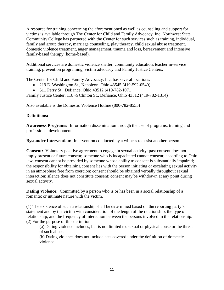A resource for training concerning the aforementioned as well as counseling and support for victims is available through The Center for Child and Family Advocacy, Inc. Northwest State Community College has partnered with the Center for such services such as training, individual, family and group therapy, marriage counseling, play therapy, child sexual abuse treatment, domestic violence treatment, anger management, trauma and loss, bereavement and intensive family-based therapy (home-based).

Additional services are domestic violence shelter, community education, teacher in-service training, prevention programing, victim advocacy and Family Justice Centers.

The Center for Child and Family Advocacy, Inc. has several locations.

- 219 E. Washington St., Napoleon, Ohio 43545 [\(419-592-0540\)](tel:%28419-592--0540)
- 511 Perry St., Defiance, Ohio 43512 [\(419-782-1071](tel:%28419-782-1071)

Family Justice Center, 118 ½ Clinton St., Defiance, Ohio 43512 [\(419-782-1314\)](tel:%28419-782-1314)

Also available is the Domestic Violence Hotline [\(800-782-8555\)](tel:%28800-782-8555)

# **Definitions:**

**Awareness Programs:** Information dissemination through the use of programs, training and professional development.

**Bystander Intervention:** Intervention conducted by a witness to assist another person.

**Consent:** Voluntary positive agreement to engage in sexual activity; past consent does not imply present or future consent; someone who is incapacitated cannot consent; according to Ohio law, consent cannot be provided by someone whose ability to consent is substantially impaired; the responsibility for obtaining consent lies with the person initiating or escalating sexual activity in an atmosphere free from coercion; consent should be obtained verbally throughout sexual interaction; silence does not constitute consent; consent may be withdrawn at any point during sexual activity.

**Dating Violence:** Committed by a person who is or has been in a social relationship of a romantic or intimate nature with the victim.

(1) The existence of such a relationship shall be determined based on the reporting party's statement and by the victim with consideration of the length of the relationship, the type of relationship, and the frequency of interaction between the persons involved in the relationship. (2) For the purpose of this definition:

(a) Dating violence includes, but is not limited to, sexual or physical abuse or the threat of such abuse.

(b) Dating violence does not include acts covered under the definition of domestic violence.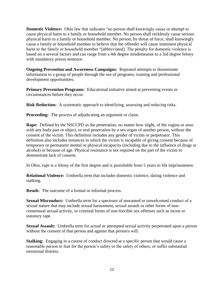**Domestic Violence:** Ohio law that indicates "no person shall knowingly cause or attempt to cause physical harm to a family or household member. No person shall recklessly cause serious physical harm to a family or household member. No person, by threat of force, shall knowingly cause a family or household member to believe that the offender will cause imminent physical harm to the family or household member "[abbreviated]. The penalty for domestic violence is based on a several factors and can range from a 4th degree misdemeanor to a 3rd degree felony with mandatory prison sentence.

**Ongoing Prevention and Awareness Campaigns:** Repeated attempts to disseminate information to a group of people through the use of programs, training and professional development opportunities.

**Primary Prevention Programs:** Educational initiative aimed at preventing events or circumstances before they occur.

**Risk Reduction:** A systematic approach to identifying, assessing and reducing risks.

**Proceeding:** The process of adjudicating an argument or claim.

**Rape:** Defined by the NSCCPD as the penetration, no matter how slight, of the vagina or anus with any body part or object, or oral penetration by a sex organ of another person, without the consent of the victim. This definition includes any gender of victim or perpetrator. This definition also includes instances in which the victim is incapable of giving consent because of temporary or permanent mental or physical incapacity (including due to the influence of drugs or alcohol) or because of age. Physical resistance is not required on the part of the victim to demonstrate lack of consent.

In Ohio, rape is a felony of the first degree and is punishable from 5 years to life imprisonment.

**Relational Violence:** Umbrella term that includes domestic violence, dating violence and stalking.

**Result:** The outcome of a formal or informal process.

**Sexual Misconduct:** Umbrella term for a spectrum of unwanted or unwelcomed conduct of a sexual nature that may include sexual harassment, sexual assault or other forms of nonconsensual sexual activity, or criminal forms of non-forcible sex offenses such as incest or statutory rape.

**Sexual Assault:** Umbrella term for actual or attempted sexual activity perpetrated upon a person without the consent of that person and against that person's will.

**Stalking:** Engaging in a course of conduct directed at a specific person that would cause a reasonable person to fear for the person's safety or the safety of others; or suffer substantial emotional distress.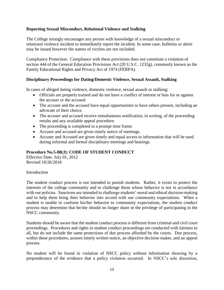# **Reporting Sexual Misconduct, Relational Violence and Stalking**

The College strongly encourages any person with knowledge of a sexual misconduct or relational violence incident to immediately report the incident. In some case, bulletins or alerts may be issued however the names of victims are not included.

Compliance Protection: Compliance with these provisions does not constitute a violation of section 444 of the General Education Provisions Act (20 U.S.C. 1232g), commonly known as the Family Educational Rights and Privacy Act of 1974 (FERPA).

# **Disciplinary Proceedings for Dating/Domestic Violence, Sexual Assault, Stalking**

In cases of alleged dating violence, domestic violence, sexual assault or stalking:

- Officials are properly trained and do not have a conflict of interest or bias for or against the accuser or the accused.
- The accuser and the accused have equal opportunities to have others present, including an advocate of their choice.
- The accuser and accused receive simultaneous notification, in writing, of the proceeding results and any available appeal procedure.
- The proceeding is completed in a prompt time frame.
- Accuser and accused are given timely notice of meetings.
- Accuser and Accused are given timely and equal access to information that will be used during informal and formal disciplinary meetings and hearings.

# **Procedure No.5-08(J): CODE OF STUDENT CONDUCT**

Effective Date: July 01, 2012 Revised 10/26/2018

#### Introduction

The student conduct process is not intended to punish students. Rather, it exists to protect the interests of the college community and to challenge those whose behavior is not in accordance with our policies. Sanctions are intended to challenge students' moral and ethical decision-making and to help them bring their behavior into accord with our community expectations. When a student is unable to conform his/her behavior to community expectations, the student conduct process may determine that he/she should no longer share in the privilege of participating in the NSCC community.

Students should be aware that the student conduct process is different from criminal and civil court proceedings. Procedures and rights in student conduct proceedings are conducted with fairness to all, but do not include the same protections of due process afforded by the courts. Due process, within these procedures, assures timely written notice, an objective decision maker, and an appeal process.

No student will be found in violation of NSCC policy without information showing by a preponderance of the evidence that a policy violation occurred. In NSCC's sole discretion,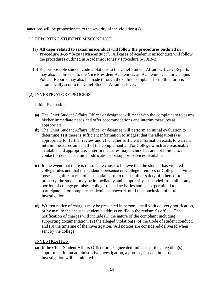sanctions will be proportionate to the severity of the violations(s).

#### (1) REPORTING STUDENT MISCONDUCT

- (a) **All cases related to sexual misconduct will follow the procedures outlined in Procedure 3-35 "Sexual Misconduct".** All cases of academic misconduct will follow the procedures outlined in Academic Honesty Procedure 5-09(B-2).
- (b) Report possible student code violations to the Chief Student Affairs Officer. Reports may also be directed to the Vice President Academics, an Academic Dean or Campus Police. Reports may also be made through the online complaint form; this form is automatically sent to the Chief Student Affairs Officer.

# (2) INVESTIGATORY PROCESS

#### Initial Evaluation

- (a) The Chief Student Affairs Officer or designee will meet with the complainant to assess his/her immediate needs and offer accommodations and interim measures as appropriate.
- (b) The Chief Student Affairs Officer or designee will perform an initial evaluation to determine 1) if there is sufficient information to suggest that the allegation(s) is appropriate for further review and 2) whether sufficient information exists to warrant interim measures on behalf of the complainant and/or College which are reasonably available and appropriate. Interim measures may include but are not limited to no contact orders, academic modifications, or support services available.
- (c) In the event that there is reasonable cause to believe that the student has violated college rules and that the student's presence on College premises or College activities poses a significant risk of substantial harm to the health or safety of others or to property, the student may be immediately and temporarily suspended from all or any portion of college premises, college-related activities and is not permitted to participate in, or complete academic coursework until the conclusion of a full investigation.
- (d) Written notice of charges may be presented in person, email with delivery notification, or by mail to the accused student's address on file in the registrar's office. The notification of charges will include (1) the nature of the complaint including supporting documentation; (2) the alleged violation(s) of the Code of student conduct; and (3) the timeline of the investigation. All notices are considered delivered when sent by the college.

#### INVESTICATION

(a) If the Chief Student Affairs Officer or designee determines that the allegation(s) is appropriate for an administrative investigation, a prompt, fair and impartial investigation will be initiated.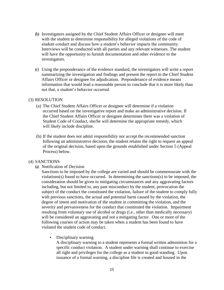- (b) Investigators assigned by the Chief Student Affairs Officer or designee will meet with the student to determine responsibility for alleged violations of the code of student conduct and discuss how a student's behavior impacts the community. Interviews will be conducted with all parties and any relevant witnesses. The student will have the opportunity to furnish documentation and other evidence to the investigators.
- (c) Using the preponderance of the evidence standard, the investigators will write a report summarizing the investigation and findings and present the report to the Chief Student Affairs Officer or designee for adjudication. Preponderance of evidence means information that would lead a reasonable person to conclude that it is more likely than not that, a student's behavior occurred.

#### (3) RESOLUTION

- (a) The Chief Student Affairs Officer or designee will determine if a violation occurred based on the investigative report and make an administrative decision. If the Chief Student Affairs Officer or designee determines there was a violation of Student Code of Conduct, she/he will determine the appropriate remedy, which will likely include discipline.
- (b) If the student does not admit responsibility nor accept the recommended sanction following an administrative decision, the student retains the right to request an appeal of the original decision, based upon the grounds established under Section 5 (Appeal Process) below.

#### (4) SANCTIONS

(a) Notification of Decision

Sanctions to be imposed by the college are varied and should be commensurate with the violations(s) found to have occurred. In determining the sanctions(s) to be imposed, the consideration should be given to mitigating circumstances and any aggravating factors including, but not limited to, any past misconduct by the student, provocation the subject of the conduct the constituted the violation, failure of the student to comply fully with previous sanctions, the actual and potential harm caused by the violation, the degree of intent and motivation of the student in committing the violation, and the severity and pervasiveness for the conduct that constituted the violation. Impairment resulting from voluntary use of alcohol or drugs (i.e., other than medically necessary) will be considered an aggravating and not a mitigating factor. One or more of the following courses of action may be taken when a student has been found to have violated the student code of conduct.

• Disciplinary warning

A disciplinary warning to a student represents a formal written admonition for a specific conduct violation. A student under warning shall continue to exercise all right and privileges for the college as a student in good standing. Upon issuance of a formal warning, a discipline file is created and housed in the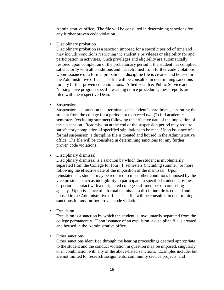Administrative office. The file will be consulted in determining sanctions for any further proven code violation.

Disciplinary probation

Disciplinary probation is a sanction imposed for a specific period of time and may include conditions restricting the student's privileges or eligibility for and participation in activities. Such privileges and eligibility are automatically restored upon completion of the probationary period if the student has complied satisfactorily with all conditions and has refrained from further code violations. Upon issuance of a formal probation, a discipline file is created and housed in the Administrative office. The file will be consulted in determining sanctions for any further proven code violations. Allied Health & Public Service and Nursing have program specific warning notice procedures; these reports are filed with the respective Dean.

**Suspension** 

Suspension is a sanction that terminates the student's enrollment, separating the student from the college for a period not to exceed two (2) full academic semesters (excluding summer) following the effective date of the imposition of the suspension. Readmission at the end of the suspension period may require satisfactory completion of specified stipulations to be met. Upon issuance of a formal suspension, a discipline file is created and housed in the Administrative office. The file will be consulted in determining sanctions for any further proven code violations.

• Disciplinary dismissal

Disciplinary dismissal is a sanction by which the student is involuntarily separated from the College for four (4) semesters (including summer) or more following the effective date of the imposition of the dismissal. Upon reinstatement, student may be required to meet other conditions imposed by the vice president such as ineligibility to participate in specified student activities; or periodic contact with a designated college staff member or counseling agency. Upon issuance of a formal dismissal, a discipline file is created and housed in the Administrative office. The file will be consulted in determining sanctions for any further proven code violations

**Expulsion** 

Expulsion is a sanction by which the student is involuntarily separated from the college permanently. Upon issuance of an expulsion, a discipline file is created and housed in the Administrative office.

Other sanctions

Other sanctions identified through the hearing proceedings deemed appropriate to the student and the conduct violation in question may be imposed, singularly or in combination with any of the above-listed sanctions. Examples include, but are not limited to, research assignments, community service projects, and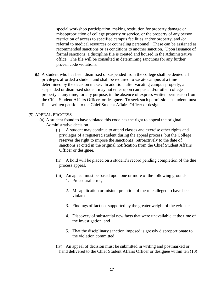special workshop participation, making restitution for property damage or misappropriation of college property or service, or the property of any person, restriction of access to specified campus facilities and/or property, and /or referral to medical resources or counseling personnel. These can be assigned as recommended sanctions or as conditions to another sanction. Upon issuance of formal sanctions, a discipline file is created and housed in the Administrative office. The file will be consulted in determining sanctions for any further proven code violations.

(b) A student who has been dismissed or suspended from the college shall be denied all privileges afforded a student and shall be required to vacate campus at a time determined by the decision maker. In addition, after vacating campus property, a suspended or dismissed student may not enter upon campus and/or other college property at any time, for any purpose, in the absence of express written permission from the Chief Student Affairs Officer or designee. To seek such permission, a student must file a written petition to the Chief Student Affairs Officer or designee.

#### (5) APPEAL PROCESS

- (a) A student found to have violated this code has the right to appeal the original Administrative decision.
	- (i) A student may continue to attend classes and exercise other rights and privileges of a registered student during the appeal process, but the College reserves the right to impose the sanction(s) retroactively to the date of sanctions(s) cited in the original notification from the Chief Student Affairs Officer or designee.
	- (ii) A hold will be placed on a student's record pending completion of the due process appeal.
	- (iii) An appeal must be based upon one or more of the following grounds: 1. Procedural error,
		- 2. Misapplication or misinterpretation of the rule alleged to have been violated,
		- 3. Findings of fact not supported by the greater weight of the evidence
		- 4. Discovery of substantial new facts that were unavailable at the time of the investigation, and
		- 5. That the disciplinary sanction imposed is grossly disproportionate to the violation committed.
	- (iv) An appeal of decision must be submitted in writing and postmarked or hand delivered to the Chief Student Affairs Officer or designee within ten (10)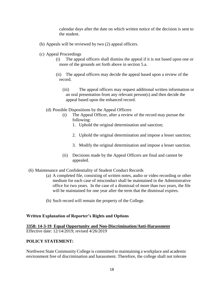calendar days after the date on which written notice of the decision is sent to the student.

- (b) Appeals will be reviewed by two (2) appeal officers.
- (c) Appeal Proceedings
	- (i) The appeal officers shall dismiss the appeal if it is not based upon one or more of the grounds set forth above in section 5.a.
	- (ii) The appeal officers may decide the appeal based upon a review of the record.
		- (iii) The appeal officers may request additional written information or an oral presentation from any relevant person(s) and then decide the appeal based upon the enhanced record.
	- (d) Possible Dispositions by the Appeal Officers
		- (i) The Appeal Officer, after a review of the record may pursue the following:
			- 1. Uphold the original determination and sanction;
			- 2. Uphold the original determination and impose a lesser sanction;
			- 3. Modify the original determination and impose a lesser sanction.
		- (ii) Decisions made by the Appeal Officers are final and cannot be appealed.
- (6) Maintenance and Confidentiality of Student Conduct Records
	- (a) A completed file, consisting of written notes, audio or video recording or other medium for each case of misconduct shall be maintained in the Administrative office for two years. In the case of a dismissal of more than two years, the file will be maintained for one year after the term that the dismissal expires.
	- (b) Such record will remain the property of the College.

#### **Written Explanation of Reporter's Rights and Options**

# **3358: 14-3-19 Equal Opportunity and Non-Discrimination/Anti-Harassment**

Effective date: 12/14/2019; revised 4/26/2019

#### **POLICY STATEMENT:**

Northwest State Community College is committed to maintaining a workplace and academic environment free of discrimination and harassment. Therefore, the college shall not tolerate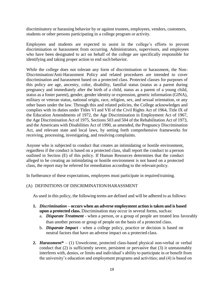discriminatory or harassing behavior by or against trustees, employees, vendors, customers, students or other persons participating in a college program or activity.

Employees and students are expected to assist in the college's efforts to prevent discrimination or harassment from occurring. Administrators, supervisors, and employees who have been designated to act on behalf of the college are specifically responsible for identifying and taking proper action to end such behavior.

While the college does not tolerate any form of discrimination or harassment, the Non-Discrimination/Anti-Harassment Policy and related procedures are intended to cover discrimination and harassment based on a protected class. Protected classes for purposes of this policy are age, ancestry, color, disability, familial status (status as a parent during pregnancy and immediately after the birth of a child, status as a parent of a young child, status as a foster parent), gender, gender identity or expression, genetic information (GINA), military or veteran status, national origin, race, religion, sex, and sexual orientation, or any other bases under the law. Through this and related policies, the College acknowledges and complies with its duties under Titles VI and VII of the Civil Rights Act of 1964, Title IX of the Education Amendments of 1972, the Age Discrimination in Employment Act of 1967, the Age Discrimination Act of 1975, Sections 503 and 504 of the Rehabilitation Act of 1973, and the Americans with Disabilities Act of 1990, as amended, the Pregnancy Discrimination Act, and relevant state and local laws, by setting forth comprehensive frameworks for receiving, processing, investigating, and resolving complaints.

Anyone who is subjected to conduct that creates an intimidating or hostile environment, regardless if the conduct is based on a protected class, shall report the conduct to a person outlined in Section (E) of this policy. If Human Resources determines that the conduct alleged to be creating an intimidating or hostile environment is not based on a protected class, the report may be referred for remediation according to the relevant policy.

In furtherance of these expectations, employees must participate in required training.

#### (A) DEFINITIONS OF DISCRIMINATION/HARASSMENT

As used in this policy, the following terms are defined and will be adhered to as follows:

- **1.** *Discrimination* **– occurs when an adverse employment action is taken and is based upon a protected class.** Discrimination may occur in several forms, suchas:
	- a. *Disparate Treatment* when a person, or a group of people are treated less favorably than another person or group of people on the basis of a protected class.
	- b. *Disparate Impact* **-** when a college policy, practice or decision is based on neutral factors that have an adverse impact on a protected class.
- **2.** *Harassment\**  (1) Unwelcome, protected class-based physical non-verbal or verbal conduct that (2) is sufficiently severe, persistent or pervasive that (3) it unreasonably interferes with, denies, or limits and individual's ability to participate in or benefit from the university's education and employment programs and activities; and (4) is based on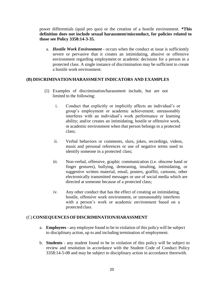power differentials (quid pro quo) or the creation of a hostile environment. **\*This definition does not include sexual harassment/misconduct, for policies related to those see Policy 3358:14-3-35.**

a. *Hostile Work Environment -* occurs when the conduct at issue is sufficiently severe or pervasive that it creates an intimidating, abusive or offensive environment regarding employment or academic decisions for a person in a protected class. A single instance of discrimination may be sufficient to create a hostile work environment.

# **(B) DISCRIMINATION/HARASSMENT INDICATORS AND EXAMPLES**

- (1) Examples of discrimination/harassment include, but are not limited to the following:
	- i. Conduct that explicitly or implicitly affects an individual's or group's employment or academic achievement; unreasonably interferes with an individual's work performance or learning ability; and/or creates an intimidating, hostile or offensive work, or academic environment when that person belongs to a protected class;
	- ii. Verbal behaviors or comments, slurs, jokes, recordings, videos, music and personal references or use of negative terms used to identify someone in a protected class;
	- iii. Non-verbal, offensive, graphic communication (i.e. obscene hand or finger gestures), bullying, demeaning, insulting, intimidating, or suggestive written material, email, posters, graffiti, cartoons, other electronically transmitted messages or use of social media which are directed at someone because of a protected class;
	- iv. Any other conduct that has the effect of creating an intimidating, hostile, offensive work environment, or unreasonably interferes with a person's work or academic environment based on a protected class.

#### (C) **CONSEQUENCESOFDISCRIMINATION/HARASSMENT**

- a. **Employees** any employee found to be in violation of this policy will be subject to disciplinary action, up to and including termination of employment.
- b. **Students**  any student found to be in violation of this policy will be subject to review and resolution in accordance with the Student Code of Conduct Policy 3358:14-5-08 and may be subject to disciplinary action in accordance therewith.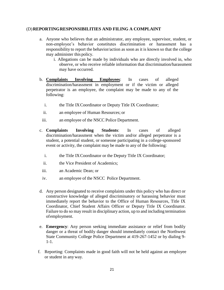# (D)**REPORTINGRESPONSIBILITIES AND FILING A COMPLAINT**

- a. Anyone who believes that an administrator, any employee, supervisor, student, or non-employee's behavior constitutes discrimination or harassment has a responsibility to report the behavior/action as soon as it is known so that the college may administer this policy.
	- i. Allegations can be made by individuals who are directly involved in, who observe, or who receive reliable information that discrimination/harassment may have occurred.
- b. **Complaints Involving Employees**: In cases of alleged discrimination/harassment in employment or if the victim or alleged perpetrator is an employee, the complaint may be made to any of the following:
	- i. the Title IXCoordinator or Deputy Title IX Coordinator;
	- ii. an employee of Human Resources; or
- iii. an employee of the NSCC Police Department.
- c. **Complaints Involving Students**: In cases of alleged discrimination/harassment when the victim and/or alleged perpetrator is a student, a potential student, or someone participating in a college-sponsored event or activity, the complaint may be made to any of the following:
	- i. the Title IXCoordinator or the Deputy Title IX Coordinator;
	- ii. the Vice President of Academics;
- iii. an Academic Dean; or
- iv. an employee of the NSCC Police Department.
- d. Any person designated to receive complaints under this policy who has direct or constructive knowledge of alleged discriminatory or harassing behavior must immediately report the behavior to the Office of Human Resources, Title IX Coordinator, Chief Student Affairs Officer or Deputy Title IX Coordinator. Failure to do so may result in disciplinary action, up to and including termination ofemployment.
- e. **Emergency**: Any person seeking immediate assistance or relief from bodily danger or a threat of bodily danger should immediately contact the Northwest State Community College Police Department at 419-267-1452 or by dialing 9- 1-1.
- f. Reporting: Complaints made in good faith will not be held against an employee or student in any way.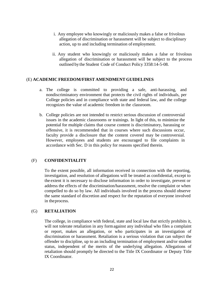- i. Any employee who knowingly or maliciously makes a false or frivolous allegation of discrimination or harassment will be subject to disciplinary action, up to and including termination of employment.
- ii. Any student who knowingly or maliciously makes a false or frivolous allegation of discrimination or harassment will be subject to the process outlined by the Student Code of Conduct Policy 3358:14-5-08.

#### (E) **ACADEMIC FREEDOM/FIRST AMENDMENT GUIDELINES**

- a. The college is committed to providing a safe, anti-harassing, and nondiscriminatory environment that protects the civil rights of individuals, per College policies and in compliance with state and federal law, and the college recognizes the value of academic freedom in the classroom.
- b. College policies are not intended to restrict serious discussion of controversial issues in the academic classrooms or trainings. In light of this, to minimize the potential for multiple claims that course content is discriminatory, harassing or offensive, it is recommended that in courses where such discussions occur, faculty provide a disclosure that the content covered may be controversial. However, employees and students are encouraged to file complaints in accordance with Sec. D in this policy for reasons specified therein.

#### (F) **CONFIDENTIALITY**

To the extent possible, all information received in connection with the reporting, investigation, and resolution of allegations will be treated as confidential, except to the extent it is necessary to disclose information in order to investigate, prevent or address the effects of the discrimination/harassment, resolve the complaint or when compelled to do so by law. All individuals involved in the process should observe the same standard of discretion and respect for the reputation of everyone involved in theprocess.

#### (G) **RETALIATION**

The college, in compliance with federal, state and local law that strictly prohibits it, will not tolerate retaliation in any formagainst any individual who files a complaint or report, makes an allegation, or who participates in an investigation of discrimination or harassment. Retaliation is a serious violation that can subject the offender to discipline, up to an including termination of employment and/or student status, independent of the merits of the underlying allegation. Allegations of retaliation should promptly be directed to the Title IX Coordinator or Deputy Title IX Coordinator.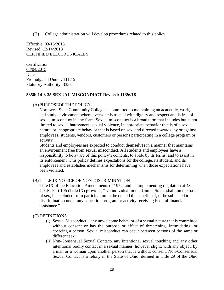(H) College administration will develop procedures related to this policy.

Effective: 03/16/2015 Revised: 12/14/2018 CERTIFIED ELECTRONICALLY

**Certification** 03/04/2015 Date Promulgated Under: 111.15 Statutory Authority: 3358

#### **3358: 14-3-35 SEXUAL MISCONDUCT Revised: 11/26/18**

#### (A)PURPOSEOF THE POLICY

Northwest State Community College is committed to maintaining an academic, work, and study environment where everyone is treated with dignity and respect and is free of sexual misconduct in any form. Sexual misconduct is a broad term that includes but is not limited to sexual harassment, sexual violence, inappropriate behavior that is of a sexual nature, or inappropriate behavior that is based on sex, and directed towards, by or against employees, students, vendors, customers or persons participating in a college program or activity.

Students and employees are expected to conduct themselves in a manner that maintains an environment free from sexual misconduct. All students and employees have a responsibility to be aware of this policy's contents, to abide by its terms, and to assist in its enforcement. This policy defines expectations for the college, its student, and its employees and establishes mechanisms for determining when those expectations have been violated.

#### (B) TITLE IX NOTICE OF NON-DISCRIMINATION

Title IX of the Education Amendments of 1972, and its implementing regulation at 43 C.F.R. Part 106 (Title IX) provides, "No individual in the United States shall, on the basis of sex, be excluded from participation in, be denied the benefits of, or be subjected to discrimination under any education program or activity receiving Federal financial assistance."

#### (C) DEFINITIONS

- (i) Sexual Misconduct any unwelcome behavior of a sexual nature that is committed without consent or has the purpose or effect of threatening, intimidating, or coercing a person. Sexual misconduct can occur between persons of the same or different sex.
- (ii) Non-Consensual Sexual Contact- any intentional sexual touching and any other intentional bodily contact in a sexual manner, however slight, with any object, by a man or a woman upon another person that is without consent. Non-Consensual Sexual Contact is a felony in the State of Ohio, defined in Title 29 of the Ohio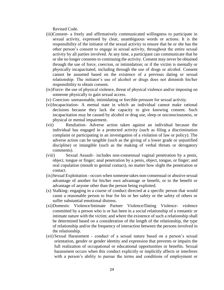Revised Code.

- (iii)Consent- a freely and affirmatively communicated willingness to participate in sexual activity, expressed by clear, unambiguous words or actions. It is the responsibility of the initiator of the sexual activity to ensure that he or she has the other person's consent to engage in sexual activity, throughout the entire sexual activity by all parties involved. At any time, a participant can communicate that he or she no longer consents to continuing the activity. Consent may never be obtained through the use of force, coercion, or intimidation; or if the victim is mentally or physically incapacitated, including through the use of drugs or alcohol. Consent cannot be assumed based on the existence of a previous dating or sexual relationship. The initiator's use of alcohol or drugs does not diminish his/her responsibility to obtain consent.
- (iv)Force- the use of physical violence, threat of physical violence and/or imposing on someone physically to gain sexual access.
- (v) Coercion- unreasonable, intimidating or forcible pressure for sexual activity.
- (vi)Incapacitation- A mental state in which an individual cannot make rational decisions because they lack the capacity to give knowing consent. Such incapacitation may be caused by alcohol or drug use, sleep or unconsciousness, or physical or mental impairment.
- (vii) Retaliation- Adverse action taken against an individual because the individual has engaged in a protected activity (such as filing a discrimination complaint or participating in an investigation of a violation of law or policy). The adverse action can be tangible (such as the giving of a lower grade or unjustified discipline) or intangible (such as the making of verbal threats or derogatory comments).
- (viii) Sexual Assault– includes non-consensual vaginal penetration by a penis, object, tongue or finger; anal penetration by a penis, object, tongue, or finger; and oral copulation (mouth to genital contact), no matter how slight the penetration or contact.
- (ix)Sexual Exploitation occurs when someone takes non-consensual or abusive sexual advantage of another for his/her own advantage or benefit, or to the benefit or advantage of anyone other than the person being exploited.
- (x) Stalking- engaging in a course of conduct directed at a specific person that would cause a reasonable person to fear for his or her safety or the safety of others or suffer substantial emotional distress.
- (xi)Domestic Violence/Intimate Partner Violence/Dating Violence- violence committed by a person who is or has been in a social relationship of a romantic or intimate nature with the victim; and where the existence of such a relationship shall be determined based on a consideration of the length of the relationship, the type of relationship and/or the frequency of interaction between the persons involved in the relationship.
- (xii) Sexual Harassment conduct of a sexual nature based on a person's sexual orientation, gender or gender identity and expression that prevents or impairs the full realization of occupational or educational opportunities or benefits. Sexual harassment occurs when this conduct explicitly or implicitly affects or interferes with a person's ability to pursue the terms and conditions of employment or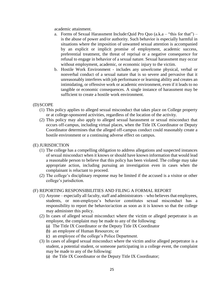academic attainment.

- a. Forms of Sexual Harassment Include:Quid Pro Quo (a.k.a "this for that") is the abuse of power and/or authority. Such behavior is especially harmful in situations where the imposition of unwanted sexual attention is accompanied by an explicit or implicit promise of employment, academic success, preferential treatment, the threat of reprisal or a negative consequence for refusal to engage in behavior of a sexual nature. Sexual harassment may occur without employment, academic, or economic injury to the victim.
- b. Hostile Work Environment includes any unwelcome physical, verbal or nonverbal conduct of a sexual nature that is so severe and pervasive that it unreasonably interferes with job performance or learning ability and creates an intimidating, or offensive work or academic environment, even if it leads to no tangible or economic consequences. A single instance of harassment may be sufficient to create a hostile work environment.

# (D)SCOPE

- (1) This policy applies to alleged sexual misconduct that takes place on College property or at college-sponsored activities, regardless of the location of the activity.
- (2) This policy may also apply to alleged sexual harassment or sexual misconduct that occurs off-campus, including virtual places, when the Title IX Coordinator or Deputy Coordinator determines that the alleged off-campus conduct could reasonably create a hostile environment or a continuing adverse effect on campus.

#### (E) JURISDICTION

- (1) The college has a compelling obligation to address allegations and suspected instances of sexual misconduct when it knows or should have known information that would lead a reasonable person to believe that this policy has been violated. The college may take appropriate action, including pursuing an investigation even in cases when the complainant is reluctant to proceed.
- (2) The college's disciplinary response may be limited if the accused is a visitor or other college's jurisdiction.

#### (F) REPORTING RESPONSIBILITIES AND FILING A FORMAL REPORT

- (1) Anyone especially all faculty, staff and administrators who believes that employees, students, or non-employee's behavior constitutes sexual misconduct has a responsibility to report the behavior/action as soon as it is known so that the college may administer this policy.
- (2) In cases of alleged sexual misconduct where the victim or alleged perpetrator is an employee, the complaint may be made to any of the following:
	- (a) The Title IX Coordinator or the Deputy Title IX Coordinator
	- (b) an employee of Human Resources; or
	- (c) an employee of the college's Police Department.
- (3) In cases of alleged sexual misconduct where the victim and/or alleged perpetrator is a student, a potential student, or someone participating in a college event, the complaint may be made to any of the following:
	- (a) the Title IX Coordinator or the Deputy Title IX Coordinator;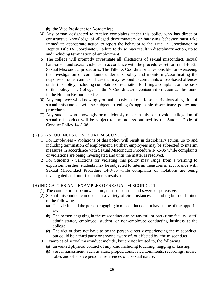(b) the Vice President for Academics;

- (4) Any person designated to receive complaints under this policy who has direct or constructive knowledge of alleged discriminatory or harassing behavior must take immediate appropriate action to report the behavior to the Title IX Coordinator or Deputy Title IX Coordinator. Failure to do so may result in disciplinary action, up to and including termination of employment.
- (5) The college will promptly investigate all allegations of sexual misconduct, sexual harassment and sexual violence in accordance with the procedures set forth in 14-3-35 Sexual Misconduct procedures. The Title IX Coordinator is responsible for overseeing the investigation of complaints under this policy and monitoring/coordinating the response of other campus offices that may respond to complaints of sex-based offenses under this policy, including complaints of retaliation for filing a complaint on the basis of this policy. The College's Title IX Coordinator's contact information can be found in the Human Resource Office.
- (6) Any employee who knowingly or maliciously makes a false or frivolous allegation of sexual misconduct will be subject to college's applicable disciplinary policy and procedures.
- (7) Any student who knowingly or maliciously makes a false or frivolous allegation of sexual misconduct will be subject to the process outlined by the Student Code of Conduct Policy 14-5-08.

#### (G)CONSEQUENCES OF SEXUAL MISCONDUCT

- (1) For Employees Violations of this policy will result in disciplinary action, up to and including termination of employment. Further, employees may be subjected to interim measures in accordance with Sexual Misconduct Procedure 14-3-35 while complaints of violations are being investigated and until the matter is resolved.
- (2) For Students Sanctions for violating this policy may range from a warning to expulsion. Further, students may be subjected to interim measures in accordance with Sexual Misconduct Procedure 14-3-35 while complaints of violations are being investigated and until the matter is resolved.

#### (H)INDICATORS AND EXAMPLES OF SEXUAL MISCONDUCT

- (1) The conduct must be unwelcome, non-consensual and severe or pervasive.
- (2) Sexual misconduct can occur in a variety of circumstances, including but not limited to the following:
	- (a) The victim and the person engaging in misconduct do not have to be of the opposite sex.
	- (b) The person engaging in the misconduct can be any full or part- time faculty, staff, administrator, employee, student, or non-employee conducting business at the college.
	- (c) The victim does not have to be the person directly experiencing the misconduct, but could be a third party or anyone aware of, or affected by, the misconduct.
- (3) Examples of sexual misconduct include, but are not limited to, the following:
	- (a) unwanted physical contact of any kind including touching, hugging or kissing;
	- (b) verbal harassment, such as slurs, propositions, lewd comments, recordings, music, jokes and offensive personal references of a sexual nature;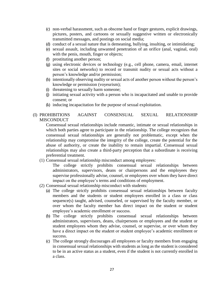- (c) non-verbal harassment, such as obscene hand or finger gestures, explicit drawings, pictures, posters, and cartoons or sexually suggestive written or electronically transmitted messages, and postings on social media;
- (d) conduct of a sexual nature that is demeaning, bullying, insulting, or intimidating;
- (e) sexual assault, including unwanted penetration of an orifice (anal, vaginal, oral) with the penis, mouth, finger or objects;
- (f) prostituting another person;
- (g) using electronic devices or technology (e.g., cell phone, camera, email, internet sites or social networks) to record or transmit nudity or sexual acts without a person's knowledge and/or permission;
- (h) intentionally observing nudity or sexual acts of another person without the person's knowledge or permission (voyeurism);
- (i) threatening to sexually harm someone;
- (j) initiating sexual activity with a person who is incapacitated and unable to provide consent; or
- (k) inducing incapacitation for the purpose of sexual exploitation.

# (I) PROHIBITIONS AGAINST CONSENSUAL SEXUAL RELATIONSHIP **MISCONDUCT**

Consensual sexual relationships include romantic, intimate or sexual relationships in which both parties agree to participate in the relationship. The college recognizes that consensual sexual relationships are generally not problematic, except when the relationship may compromise the integrity of the college, create the potential for the abuse of authority, or create the inability to remain impartial. Consensual sexual relationships may also create a third-party perception that a subordinate is receiving preferential treatment.

(1) Consensual sexual relationship misconduct among employees:

The college strictly prohibits consensual sexual relationships between administrators, supervisors, deans or chairpersons and the employees they supervise professionally advise, counsel, or employees over whom they have direct impact on the employee's terms and conditions of employment.

- (2) Consensual sexual relationship misconduct with students:
	- (a) The college strictly prohibits consensual sexual relationships between faculty members and the students or student employees enrolled in a class or class sequence(s) taught, advised, counseled, or supervised by the faculty member, or over whom the faculty member has direct impact on the student or student employee's academic enrollment or success.
	- (b) The college strictly prohibits consensual sexual relationships between administrators, supervisors, deans, chairpersons or employees and the student or student employees whom they advise, counsel, or supervise, or over whom they have a direct impact on the student or student employee's academic enrollment or success.
	- (c) The college strongly discourages all employees or faculty members from engaging in consensual sexual relationships with students as long as the student is considered to be in an active status as a student, even if the student is not currently enrolled in a class.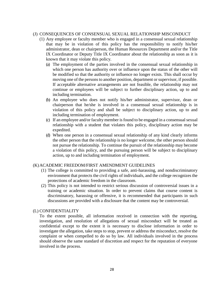#### (J) CONSEQUENCES OF CONSENSUAL SEXUAL RELATIONSHP MISCONDUCT

- (1) Any employee or faculty member who is engaged in a consensual sexual relationship that may be in violation of this policy has the responsibility to notify his/her administrator, dean or chairperson, the Human Resources Department and/or the Title IX Coordinator or Deputy Title IX Coordinator about the relationship as soon as it is known that it may violate this policy.
	- (a) The employment of the parties involved in the consensual sexual relationship in which one person has authority over or influence upon the status of the other will be modified so that the authority or influence no longer exists. This shall occur by moving one of the persons to another position, department or supervisor, if possible. If acceptable alternative arrangements are not feasible, the relationship may not continue or employees will be subject to further disciplinary action, up to and including termination.
	- (b) An employee who does not notify his/her administrator, supervisor, dean or chairperson that he/she is involved in a consensual sexual relationship is in violation of this policy and shall be subject to disciplinary action, up to and including termination of employment.
	- (c) If an employee and/or faculty member is found to be engaged in a consensual sexual relationship with a student that violates this policy, disciplinary action may be expedited.
	- (d) When one person in a consensual sexual relationship of any kind clearly informs the other person that the relationship is no longer welcome, the other person should not pursue the relationship. To continue the pursuit of the relationship may become a violation of this policy, and the pursuing person will be subject to disciplinary action, up to and including termination of employment.

# (K)ACADEMIC FREEDOM/FIRST AMENDMENT GUIDELINES

- (1) The college is committed to providing a safe, anti-harassing, and nondiscriminatory environment that protects the civil rights of individuals, and the college recognizes the protections of academic freedom in the classroom.
- (2) This policy is not intended to restrict serious discussion of controversial issues in a training or academic situation. In order to prevent claims that course content is discriminatory, harassing or offensive, it is recommended that participants in such discussions are provided with a disclosure that the content may be controversial.

#### (L) CONFIDENTIALITY

To the extent possible, all information received in connection with the reporting, investigation, and resolution of allegations of sexual misconduct will be treated as confidential except to the extent it is necessary to disclose information in order to investigate the allegation, take steps to stop, prevent or address the misconduct, resolve the complaint or when compelled to do so by law. All individuals involved in the process should observe the same standard of discretion and respect for the reputation of everyone involved in the process.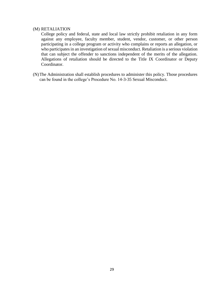#### (M) RETALIATION

College policy and federal, state and local law strictly prohibit retaliation in any form against any employee, faculty member, student, vendor, customer, or other person participating in a college program or activity who complains or reports an allegation, or who participates in an investigation of sexual misconduct. Retaliation is a serious violation that can subject the offender to sanctions independent of the merits of the allegation. Allegations of retaliation should be directed to the Title IX Coordinator or Deputy Coordinator.

(N)The Administration shall establish procedures to administer this policy. Those procedures can be found in the college's Procedure No. 14-3-35 Sexual Misconduct.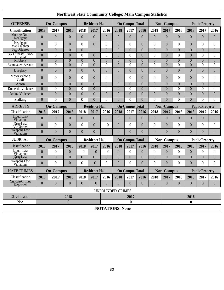| <b>Northwest State Community College: Main Campus Statistics</b> |                                           |                  |                  |                       |                       |                        |                        |                |                |                   |                   |                                             |                        |                        |                  |  |  |
|------------------------------------------------------------------|-------------------------------------------|------------------|------------------|-----------------------|-----------------------|------------------------|------------------------|----------------|----------------|-------------------|-------------------|---------------------------------------------|------------------------|------------------------|------------------|--|--|
| <b>OFFENSE</b>                                                   | <b>On-Campus</b>                          |                  |                  | <b>Residence Hall</b> |                       |                        | <b>On-Campus Total</b> |                |                | <b>Non-Campus</b> |                   | <b>Public Property</b>                      |                        |                        |                  |  |  |
| <b>Classification</b>                                            | 2018                                      | 2017             | 2016             | 2018                  | 2017                  | 2016                   | 2018                   | 2017           | 2016           | 2018              | 2017              | 2016                                        | 2018                   | 2017                   | 2016             |  |  |
| Murder/Non-<br>Negligent                                         | $\overline{0}$                            | $\boldsymbol{0}$ | $\overline{0}$   | $\overline{0}$        | $\overline{0}$        | $\overline{0}$         | $\overline{0}$         | $\overline{0}$ | $\theta$       | $\boldsymbol{0}$  | $\mathbf{0}$      | $\overline{0}$                              | $\overline{0}$         | $\overline{0}$         | $\overline{0}$   |  |  |
| Negligent<br>Manslaughter                                        | $\overline{0}$                            | $\boldsymbol{0}$ | $\overline{0}$   | $\overline{0}$        | $\overline{0}$        | $\theta$               | $\overline{0}$         | $\theta$       | $\theta$       | 0                 | $\mathbf{0}$      | $\theta$                                    | $\overline{0}$         | $\Omega$               | $\overline{0}$   |  |  |
| Sex Offenses                                                     | $\overline{0}$                            | $\overline{0}$   | $\overline{0}$   | $\overline{0}$        |                       | $\overline{0}$         | $\overline{0}$         | $\Omega$       | $\theta$       | $\overline{0}$    | $\overline{0}$    | $\overline{0}$                              | $\overline{0}$         | $\theta$               | $\overline{0}$   |  |  |
| Sex Offenses (Non-<br>forcible)                                  | $\theta$                                  | $\boldsymbol{0}$ | $\overline{0}$   | $\overline{0}$        | $\theta$              | $\theta$               | $\overline{0}$         | $\theta$       | $\overline{0}$ | $\boldsymbol{0}$  | $\boldsymbol{0}$  | $\boldsymbol{0}$                            | $\overline{0}$         | $\theta$               | $\overline{0}$   |  |  |
| Robbery                                                          | $\overline{0}$                            | $\overline{0}$   | $\overline{0}$   | $\overline{0}$        | $\overline{0}$        | $\overline{0}$         | $\theta$               | $\overline{0}$ | $\theta$       | $\overline{0}$    | $\overline{0}$    | $\overline{0}$                              | $\overline{0}$         | $\overline{0}$         | $\overline{0}$   |  |  |
| <b>Aggravated Assault</b>                                        | $\overline{0}$                            | $\overline{0}$   | $\overline{0}$   | $\Omega$              | $\overline{0}$        | $\overline{0}$         | $\overline{0}$         | $\theta$       | $\overline{0}$ | $\overline{0}$    | $\overline{0}$    | $\overline{0}$                              | $\overline{0}$         | $\overline{0}$         | $\overline{0}$   |  |  |
| <b>Burglary</b>                                                  | $\boldsymbol{0}$                          | $\boldsymbol{0}$ | $\overline{0}$   | $\mathbf{0}$          | $\mathbf{0}$          | $\mathbf{0}$           | $\boldsymbol{0}$       | $\theta$       | $\theta$       | $\overline{0}$    | $\boldsymbol{0}$  | $\overline{0}$                              | $\mathbf{0}$           | $\boldsymbol{0}$       | $\boldsymbol{0}$ |  |  |
| Motor Vehicle<br>Theft                                           | $\overline{0}$                            | $\boldsymbol{0}$ | $\theta$         | $\Omega$              | $\theta$              | $\theta$               | $\theta$               | $\theta$       | $\theta$       | 0                 | $\mathbf{0}$      | $\boldsymbol{0}$                            | $\overline{0}$         | $\theta$               | $\overline{0}$   |  |  |
| Arson                                                            | $\overline{0}$                            | $\overline{0}$   | $\overline{0}$   | $\overline{0}$        | $\overline{0}$        | $\overline{0}$         | $\overline{0}$         | $\overline{0}$ | $\theta$       | $\overline{0}$    | $\overline{0}$    | $\overline{0}$                              | $\overline{0}$         | $\theta$               | $\overline{0}$   |  |  |
| Domestic Violence                                                | $\overline{0}$                            | $\overline{0}$   | $\overline{0}$   | $\theta$              | $\theta$              | $\theta$               | $\theta$               | $\Omega$       | 0              | $\theta$          | $\overline{0}$    | $\theta$                                    | $\overline{0}$         | $\theta$               | $\Omega$         |  |  |
| Dating Violence                                                  | $\boldsymbol{0}$                          | $\boldsymbol{0}$ | $\overline{0}$   | $\overline{0}$        | $\overline{0}$        | $\overline{0}$         | $\overline{0}$         | $\theta$       | $\theta$       | $\overline{0}$    | $\mathbf{0}$      | $\overline{0}$                              | $\mathbf{0}$           | $\overline{0}$         | $\overline{0}$   |  |  |
| Stalking                                                         | $\overline{0}$                            | $\overline{0}$   | $\overline{0}$   | $\Omega$              | $\Omega$              | $\theta$               | $\theta$               | $\Omega$       | $\Omega$       | $\overline{0}$    | $\overline{0}$    | $\Omega$                                    | $\overline{0}$         | $\theta$               | $\Omega$         |  |  |
| <b>ARRESTS</b>                                                   | <b>On-Campus</b><br><b>Residence Hall</b> |                  |                  |                       |                       |                        | <b>On-Campus Total</b> |                |                |                   |                   | <b>Non-Campus</b><br><b>Public Property</b> |                        |                        |                  |  |  |
| Classification                                                   | 2018                                      | 2017             | 2016             | 2018                  | 2017                  | 2016                   | 2018                   | 2017           | 2016           | 2018              | 2017              | 2016                                        | 2018                   | 2017                   | 2016             |  |  |
| Liquor Law<br>Violations                                         | $\overline{0}$                            | $\overline{0}$   | $\overline{0}$   | $\overline{0}$        | $\overline{0}$        | $\overline{0}$         | $\theta$               | $\overline{0}$ | $\theta$       | $\mathbf{0}$      | $\overline{0}$    | $\overline{0}$                              | $\overline{0}$         | $\overline{0}$         | $\overline{0}$   |  |  |
| <b>Drug Law</b><br><b>Violations</b>                             | $\overline{0}$                            | $\boldsymbol{0}$ | $\overline{0}$   | $\overline{0}$        | $\theta$              | $\theta$               | $\overline{0}$         | $\theta$       | $\theta$       | $\boldsymbol{0}$  | $\boldsymbol{0}$  | $\boldsymbol{0}$                            | $\mathbf{0}$           | $\theta$               | $\overline{0}$   |  |  |
| Weapons Law<br>Violations                                        | $\overline{0}$                            | $\overline{0}$   | $\overline{0}$   | $\overline{0}$        | $\overline{0}$        | $\overline{0}$         | $\overline{0}$         | $\overline{0}$ | $\Omega$       | $\overline{0}$    | $\theta$          | $\overline{0}$                              | $\overline{0}$         | $\overline{0}$         | $\overline{0}$   |  |  |
| <b>JUDICIAL</b>                                                  |                                           | <b>On-Campus</b> |                  |                       | <b>Residence Hall</b> | <b>On-Campus Total</b> |                        |                |                |                   | <b>Non-Campus</b> |                                             |                        | <b>Public Property</b> |                  |  |  |
| Classification                                                   | 2018                                      | 2017             | 2016             | 2018                  | 2017                  | 2016                   | 2018                   | 2017           | 2016           | 2018              | 2017              | 2016                                        | 2018                   | 2017                   | 2016             |  |  |
| Liquor Law<br><b>Violations</b>                                  | $\overline{0}$                            | $\boldsymbol{0}$ | $\overline{0}$   | $\overline{0}$        | $\overline{0}$        | $\boldsymbol{0}$       | $\mathbf{0}$           | $\overline{0}$ | $\overline{0}$ | $\boldsymbol{0}$  | $\boldsymbol{0}$  | $\boldsymbol{0}$                            | $\mathbf{0}$           | $\theta$               | $\theta$         |  |  |
| <b>Drug Law</b>                                                  | $\overline{0}$                            | $\overline{0}$   | $\overline{0}$   | $\overline{0}$        | $\overline{0}$        | $\overline{0}$         | $\overline{0}$         | $\theta$       | $\Omega$       | $\overline{0}$    | $\overline{0}$    | $\overline{0}$                              | $\overline{0}$         | $\overline{0}$         | $\overline{0}$   |  |  |
| Weapons Law<br>Viôlations                                        | $\overline{0}$                            | 0                | $\theta$         | $\boldsymbol{0}$      | $\theta$              | $\theta$               | $\theta$               | $\theta$       | $\theta$       | $\overline{0}$    | $\overline{0}$    | $\theta$                                    | $\mathbf{0}$           | $\theta$               | $\Omega$         |  |  |
| <b>HATECRIMES</b>                                                | <b>On-Campus</b><br><b>Residence Hall</b> |                  |                  |                       |                       |                        | <b>On-Campus Total</b> |                |                |                   |                   | <b>Non-Campus</b>                           | <b>Public Property</b> |                        |                  |  |  |
| Classification                                                   | 2018                                      | 2017             | 2016             | 2018                  | 2017                  | 2016                   | 2018                   | 2017           | 2016           | 2018              | 2017              | 2016                                        | 2018                   | 2017                   | 2016             |  |  |
| No Hate Crimes<br>Reported                                       | $\overline{0}$                            | $\boldsymbol{0}$ | $\overline{0}$   | $\boldsymbol{0}$      | $\overline{0}$        | $\overline{0}$         | $\mathbf{0}$           | $\theta$       | $\theta$       | $\overline{0}$    | $\boldsymbol{0}$  | $\overline{0}$                              | $\boldsymbol{0}$       | $\overline{0}$         | $\overline{0}$   |  |  |
| <b>UNFOUNDED CRIMES</b>                                          |                                           |                  |                  |                       |                       |                        |                        |                |                |                   |                   |                                             |                        |                        |                  |  |  |
| Classification                                                   | 2018                                      |                  |                  |                       |                       |                        | 2017                   |                |                |                   |                   | 2016                                        |                        |                        |                  |  |  |
| N/A                                                              |                                           |                  | $\boldsymbol{0}$ |                       |                       |                        |                        | $\theta$       |                |                   |                   |                                             | $\bf{0}$               |                        |                  |  |  |
| <b>NOTATIONS: None</b>                                           |                                           |                  |                  |                       |                       |                        |                        |                |                |                   |                   |                                             |                        |                        |                  |  |  |